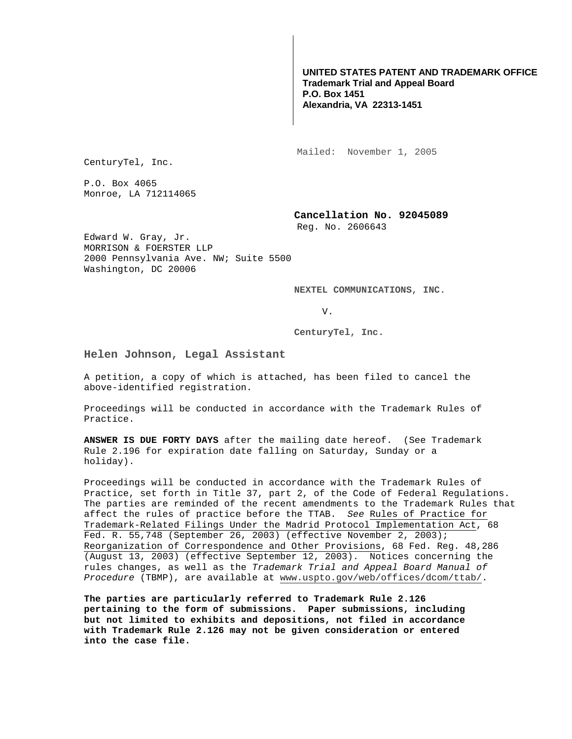# **UNITED STATES PATENT AND TRADEMARK OFFICE Trademark Trial and Appeal Board P.O. Box 1451 Alexandria, VA 22313-1451**

Mailed: November 1, 2005

CenturyTel, Inc.

P.O. Box 4065 Monroe, LA 712114065

## **Cancellation No. 92045089**

Reg. No. 2606643

Edward W. Gray, Jr. MORRISON & FOERSTER LLP 2000 Pennsylvania Ave. NW; Suite 5500 Washington, DC 20006

**NEXTEL COMMUNICATIONS, INC.** 

V.

**CenturyTel, Inc.** 

# **Helen Johnson, Legal Assistant**

A petition, a copy of which is attached, has been filed to cancel the above-identified registration.

Proceedings will be conducted in accordance with the Trademark Rules of Practice.

**ANSWER IS DUE FORTY DAYS** after the mailing date hereof. (See Trademark Rule 2.196 for expiration date falling on Saturday, Sunday or a holiday).

Proceedings will be conducted in accordance with the Trademark Rules of Practice, set forth in Title 37, part 2, of the Code of Federal Regulations. The parties are reminded of the recent amendments to the Trademark Rules that affect the rules of practice before the TTAB. See Rules of Practice for Trademark-Related Filings Under the Madrid Protocol Implementation Act, 68 Fed. R. 55,748 (September 26, 2003) (effective November 2, 2003); Reorganization of Correspondence and Other Provisions, 68 Fed. Reg. 48,286 (August 13, 2003) (effective September 12, 2003). Notices concerning the rules changes, as well as the Trademark Trial and Appeal Board Manual of Procedure (TBMP), are available at www.uspto.gov/web/offices/dcom/ttab/.

**The parties are particularly referred to Trademark Rule 2.126 pertaining to the form of submissions. Paper submissions, including but not limited to exhibits and depositions, not filed in accordance with Trademark Rule 2.126 may not be given consideration or entered into the case file.**